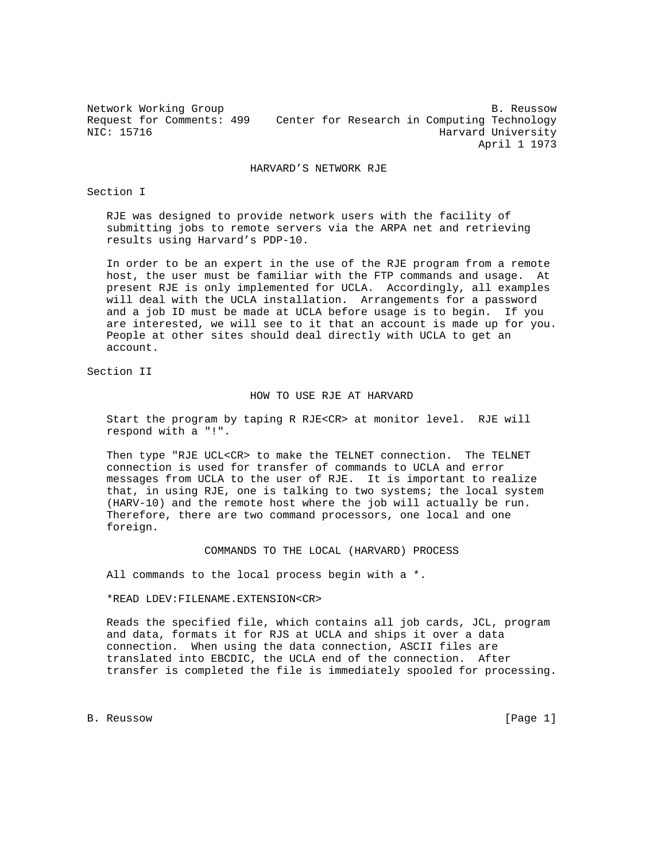Network Working Group and the set of the set of the set of the set of the set of the set of the set of the set of the set of the set of the set of the set of the set of the set of the set of the set of the set of the set o Request for Comments: 499 Center for Research in Computing Technology<br>NIC: 15716 Harvard University Harvard University April 1 1973

HARVARD'S NETWORK RJE

Section I

 RJE was designed to provide network users with the facility of submitting jobs to remote servers via the ARPA net and retrieving results using Harvard's PDP-10.

 In order to be an expert in the use of the RJE program from a remote host, the user must be familiar with the FTP commands and usage. At present RJE is only implemented for UCLA. Accordingly, all examples will deal with the UCLA installation. Arrangements for a password and a job ID must be made at UCLA before usage is to begin. If you are interested, we will see to it that an account is made up for you. People at other sites should deal directly with UCLA to get an account.

Section II

## HOW TO USE RJE AT HARVARD

 Start the program by taping R RJE<CR> at monitor level. RJE will respond with a "!".

 Then type "RJE UCL<CR> to make the TELNET connection. The TELNET connection is used for transfer of commands to UCLA and error messages from UCLA to the user of RJE. It is important to realize that, in using RJE, one is talking to two systems; the local system (HARV-10) and the remote host where the job will actually be run. Therefore, there are two command processors, one local and one foreign.

## COMMANDS TO THE LOCAL (HARVARD) PROCESS

All commands to the local process begin with a \*.

\*READ LDEV:FILENAME.EXTENSION<CR>

 Reads the specified file, which contains all job cards, JCL, program and data, formats it for RJS at UCLA and ships it over a data connection. When using the data connection, ASCII files are translated into EBCDIC, the UCLA end of the connection. After transfer is completed the file is immediately spooled for processing.

B. Reussow [Page 1]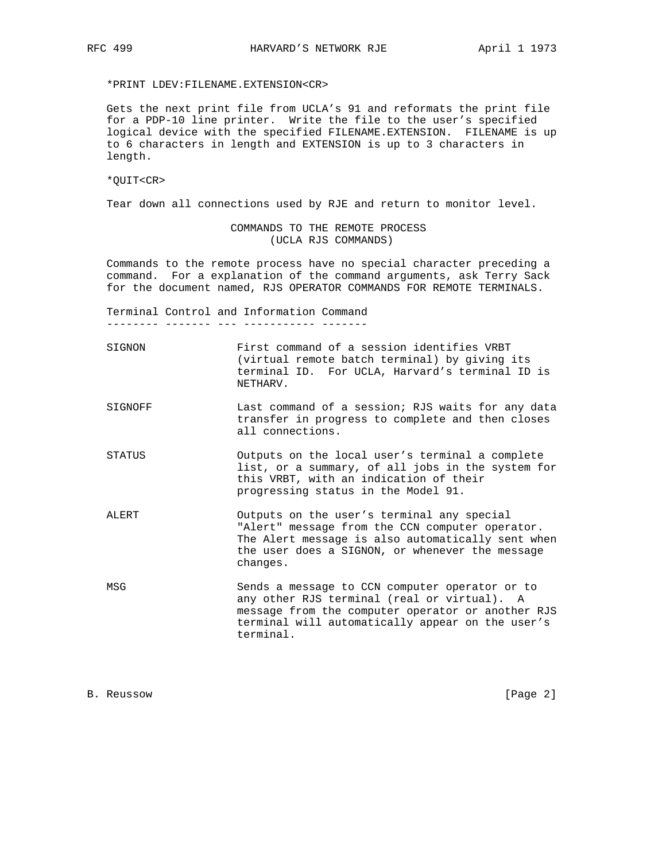\*PRINT LDEV:FILENAME.EXTENSION<CR>

 Gets the next print file from UCLA's 91 and reformats the print file for a PDP-10 line printer. Write the file to the user's specified logical device with the specified FILENAME.EXTENSION. FILENAME is up to 6 characters in length and EXTENSION is up to 3 characters in length.

\*QUIT<CR>

Tear down all connections used by RJE and return to monitor level.

 COMMANDS TO THE REMOTE PROCESS (UCLA RJS COMMANDS)

 Commands to the remote process have no special character preceding a command. For a explanation of the command arguments, ask Terry Sack for the document named, RJS OPERATOR COMMANDS FOR REMOTE TERMINALS.

 Terminal Control and Information Command -------- ------- --- ----------- -------

 SIGNON First command of a session identifies VRBT (virtual remote batch terminal) by giving its terminal ID. For UCLA, Harvard's terminal ID is NETHARV.

- SIGNOFF Last command of a session; RJS waits for any data transfer in progress to complete and then closes all connections.
- STATUS Outputs on the local user's terminal a complete list, or a summary, of all jobs in the system for this VRBT, with an indication of their progressing status in the Model 91.
- ALERT Outputs on the user's terminal any special "Alert" message from the CCN computer operator. The Alert message is also automatically sent when the user does a SIGNON, or whenever the message changes.
- MSG Sends a message to CCN computer operator or to any other RJS terminal (real or virtual). A message from the computer operator or another RJS terminal will automatically appear on the user's terminal.

B. Reussow [Page 2]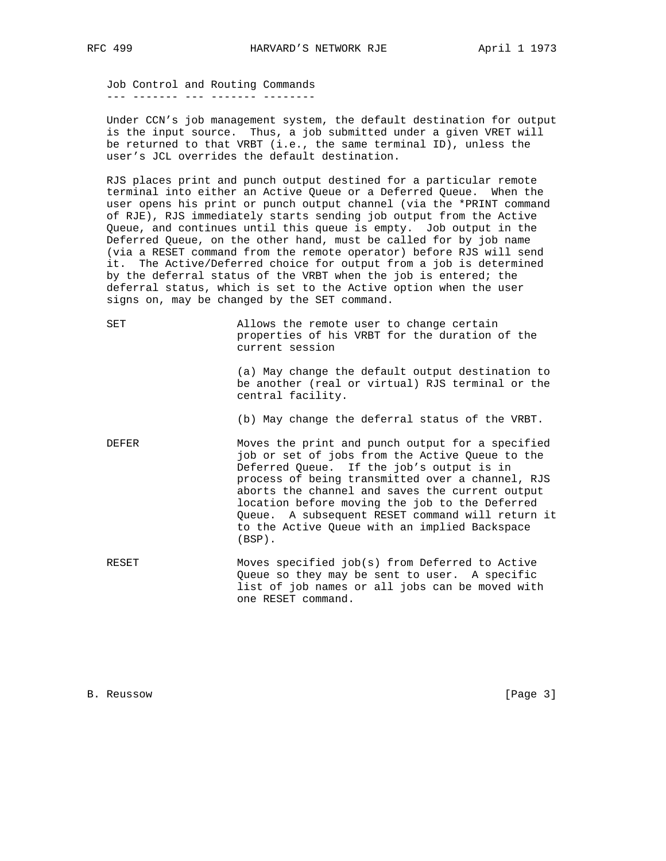Job Control and Routing Commands --- ------- --- ------- --------

 Under CCN's job management system, the default destination for output is the input source. Thus, a job submitted under a given VRET will be returned to that VRBT (i.e., the same terminal ID), unless the user's JCL overrides the default destination.

 RJS places print and punch output destined for a particular remote terminal into either an Active Queue or a Deferred Queue. When the user opens his print or punch output channel (via the \*PRINT command of RJE), RJS immediately starts sending job output from the Active Queue, and continues until this queue is empty. Job output in the Deferred Queue, on the other hand, must be called for by job name (via a RESET command from the remote operator) before RJS will send it. The Active/Deferred choice for output from a job is determined by the deferral status of the VRBT when the job is entered; the deferral status, which is set to the Active option when the user signs on, may be changed by the SET command.

| SET | Allows the remote user to change certain       |  |  |  |  |  |
|-----|------------------------------------------------|--|--|--|--|--|
|     | properties of his VRBT for the duration of the |  |  |  |  |  |
|     | current session                                |  |  |  |  |  |

 (a) May change the default output destination to be another (real or virtual) RJS terminal or the central facility.

(b) May change the deferral status of the VRBT.

- DEFER Moves the print and punch output for a specified job or set of jobs from the Active Queue to the Deferred Queue. If the job's output is in process of being transmitted over a channel, RJS aborts the channel and saves the current output location before moving the job to the Deferred Queue. A subsequent RESET command will return it to the Active Queue with an implied Backspace (BSP).
- RESET Moves specified job(s) from Deferred to Active Queue so they may be sent to user. A specific list of job names or all jobs can be moved with one RESET command.

B. Reussow [Page 3]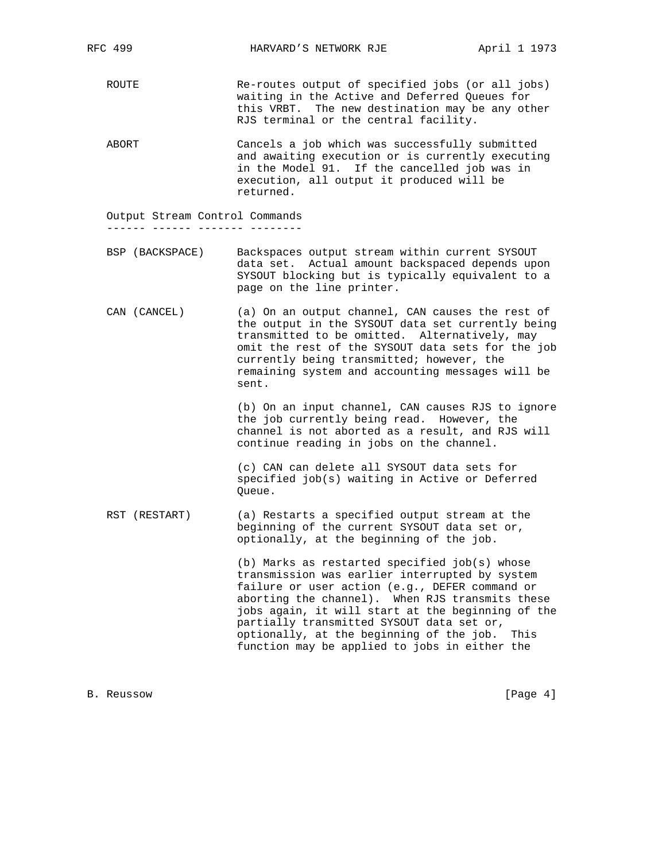ROUTE Re-routes output of specified jobs (or all jobs) waiting in the Active and Deferred Queues for this VRBT. The new destination may be any other RJS terminal or the central facility.

 ABORT Cancels a job which was successfully submitted and awaiting execution or is currently executing in the Model 91. If the cancelled job was in execution, all output it produced will be returned.

Output Stream Control Commands

------ ------ ------- --------

 BSP (BACKSPACE) Backspaces output stream within current SYSOUT data set. Actual amount backspaced depends upon SYSOUT blocking but is typically equivalent to a page on the line printer.

 CAN (CANCEL) (a) On an output channel, CAN causes the rest of the output in the SYSOUT data set currently being transmitted to be omitted. Alternatively, may omit the rest of the SYSOUT data sets for the job currently being transmitted; however, the remaining system and accounting messages will be sent.

> (b) On an input channel, CAN causes RJS to ignore the job currently being read. However, the channel is not aborted as a result, and RJS will continue reading in jobs on the channel.

 (c) CAN can delete all SYSOUT data sets for specified job(s) waiting in Active or Deferred Queue.

 RST (RESTART) (a) Restarts a specified output stream at the beginning of the current SYSOUT data set or, optionally, at the beginning of the job.

> (b) Marks as restarted specified job(s) whose transmission was earlier interrupted by system failure or user action (e.g., DEFER command or aborting the channel). When RJS transmits these jobs again, it will start at the beginning of the partially transmitted SYSOUT data set or, optionally, at the beginning of the job. This function may be applied to jobs in either the

B. Reussow [Page 4]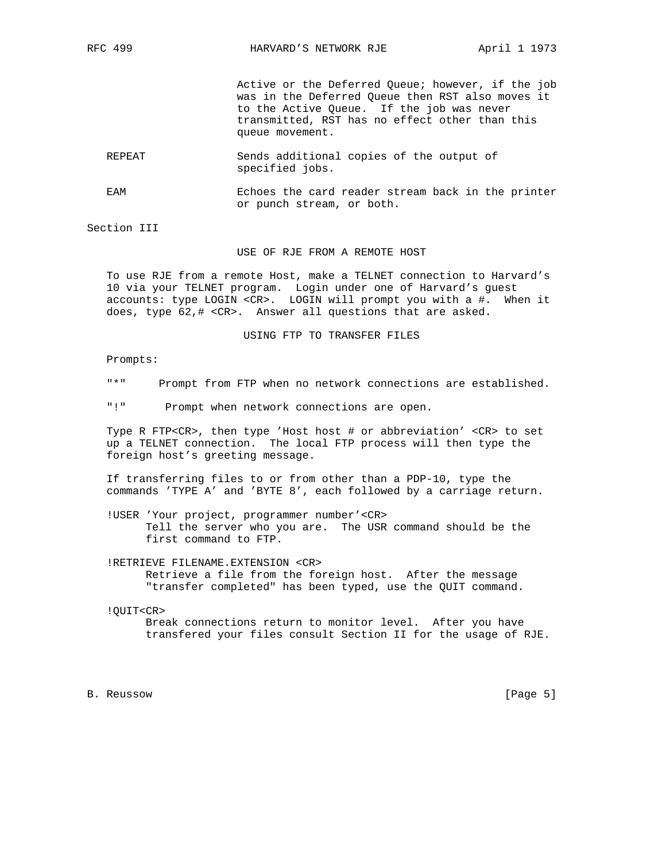Active or the Deferred Queue; however, if the job was in the Deferred Queue then RST also moves it to the Active Queue. If the job was never transmitted, RST has no effect other than this queue movement.

 REPEAT Sends additional copies of the output of specified jobs.

 EAM Echoes the card reader stream back in the printer or punch stream, or both.

Section III

## USE OF RJE FROM A REMOTE HOST

 To use RJE from a remote Host, make a TELNET connection to Harvard's 10 via your TELNET program. Login under one of Harvard's guest accounts: type LOGIN <CR>. LOGIN will prompt you with a #. When it does, type 62,# <CR>. Answer all questions that are asked.

## USING FTP TO TRANSFER FILES

Prompts:

- "\*" Prompt from FTP when no network connections are established.
- "!" Prompt when network connections are open.

 Type R FTP<CR>, then type 'Host host # or abbreviation' <CR> to set up a TELNET connection. The local FTP process will then type the foreign host's greeting message.

 If transferring files to or from other than a PDP-10, type the commands 'TYPE A' and 'BYTE 8', each followed by a carriage return.

 !USER 'Your project, programmer number'<CR> Tell the server who you are. The USR command should be the first command to FTP.

 !RETRIEVE FILENAME.EXTENSION <CR> Retrieve a file from the foreign host. After the message "transfer completed" has been typed, use the QUIT command.

!QUIT<CR>

 Break connections return to monitor level. After you have transfered your files consult Section II for the usage of RJE.

B. Reussow [Page 5]